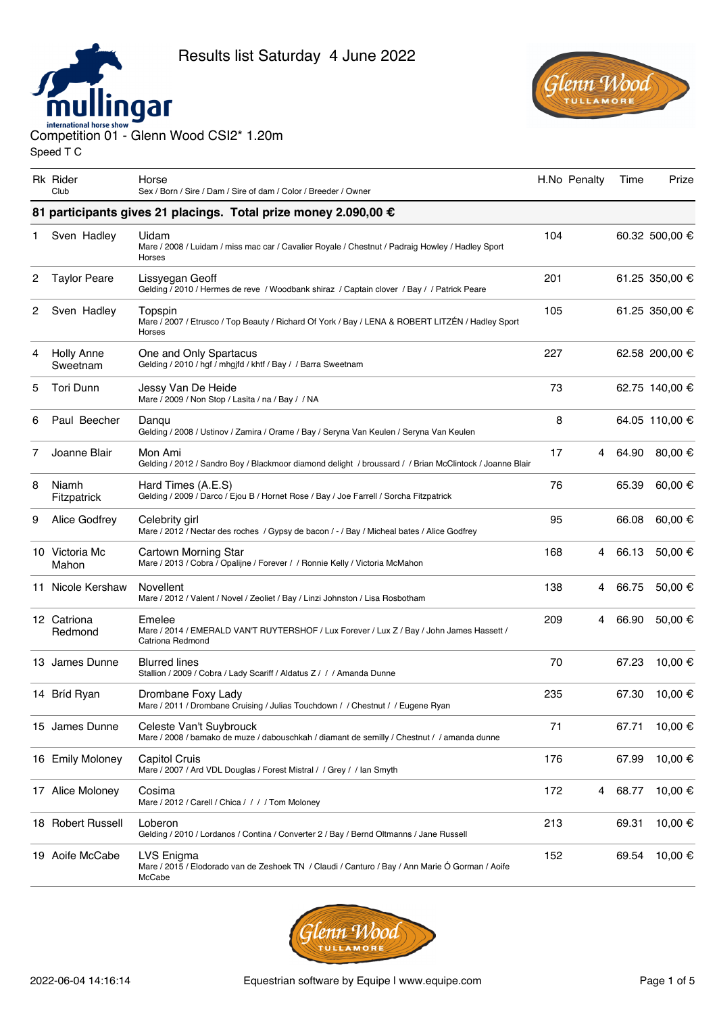



Competition 01 - Glenn Wood CSI2\* 1.20m Speed T C

Rk Rider Club Horse Sex / Born / Sire / Dam / Sire of dam / Color / Breeder / Owner H.No Penalty Time Prize **81 participants gives 21 placings. Total prize money 2.090,00 €** 1 Sven Hadley Uidam Mare / 2008 / Luidam / miss mac car / Cavalier Royale / Chestnut / Padraig Howley / Hadley Sport Horses 104 60.32 500,00 € 2 Taylor Peare Lissyegan Geoff Gelding / 2010 / Hermes de reve / Woodbank shiraz / Captain clover / Bay / / Patrick Peare 201 61.25 350,00 € 2 Sven Hadley Topspin Mare / 2007 / Etrusco / Top Beauty / Richard Of York / Bay / LENA & ROBERT LITZÉN / Hadley Sport Horses 105 61.25 350,00 € 4 Holly Anne Sweetnam One and Only Spartacus Gelding / 2010 / hgf / mhgjfd / khtf / Bay / / Barra Sweetnam 227 62.58 200,00 € 5 Tori Dunn Jessy Van De Heide Mare / 2009 / Non Stop / Lasita / na / Bay / / NA 73 62.75 140,00 € 6 Paul Beecher Danqu Gelding / 2008 / Ustinov / Zamira / Orame / Bay / Seryna Van Keulen / Seryna Van Keulen 8 64.05 110,00 € 7 Joanne Blair Mon Ami Gelding / 2012 / Sandro Boy / Blackmoor diamond delight / broussard / / Brian McClintock / Joanne Blair 17 4 64.90 80,00 € 8 Niamh Fitzpatrick Hard Times (A.E.S) Gelding / 2009 / Darco / Ejou B / Hornet Rose / Bay / Joe Farrell / Sorcha Fitzpatrick 76 65.39 60,00 € 9 Alice Godfrey Celebrity girl Mare / 2012 / Nectar des roches / Gypsy de bacon / - / Bay / Micheal bates / Alice Godfrey 95 66.08 60,00 € 10 Victoria Mc Mahon Cartown Morning Star Mare / 2013 / Cobra / Opalijne / Forever / / Ronnie Kelly / Victoria McMahon 168 4 66.13 50,00 € 11 Nicole Kershaw Novellent Mare / 2012 / Valent / Novel / Zeoliet / Bay / Linzi Johnston / Lisa Rosbotham 138 4 66.75 50,00 € 12 Catriona Redmond Emelee Mare / 2014 / EMERALD VAN'T RUYTERSHOF / Lux Forever / Lux Z / Bay / John James Hassett / Catriona Redmond 209 4 66.90 50,00 € 13 James Dunne Blurred lines Stallion / 2009 / Cobra / Lady Scariff / Aldatus Z / / / Amanda Dunne 70 67.23 10,00 € 14 Bríd Ryan Drombane Foxy Lady Mare / 2011 / Drombane Cruising / Julias Touchdown / / Chestnut / / Eugene Ryan 235 67.30 10,00 € 15 James Dunne Celeste Van't Suybrouck Mare / 2008 / bamako de muze / dabouschkah / diamant de semilly / Chestnut / / amanda dunne 71 67.71 10,00 € 16 Emily Moloney Capitol Cruis Mare / 2007 / Ard VDL Douglas / Forest Mistral / / Grey / / Ian Smyth 176 67.99 10,00 € 17 Alice Moloney Cosima Mare / 2012 / Carell / Chica / / / / Tom Moloney 172 4 68.77 10,00 € 18 Robert Russell Loberon Gelding / 2010 / Lordanos / Contina / Converter 2 / Bay / Bernd Oltmanns / Jane Russell 213 69.31 10,00 € 19 Aoife McCabe LVS Enigma Mare / 2015 / Elodorado van de Zeshoek TN / Claudi / Canturo / Bay / Ann Marie Ó Gorman / Aoife McCabe 152 69.54 10,00 €

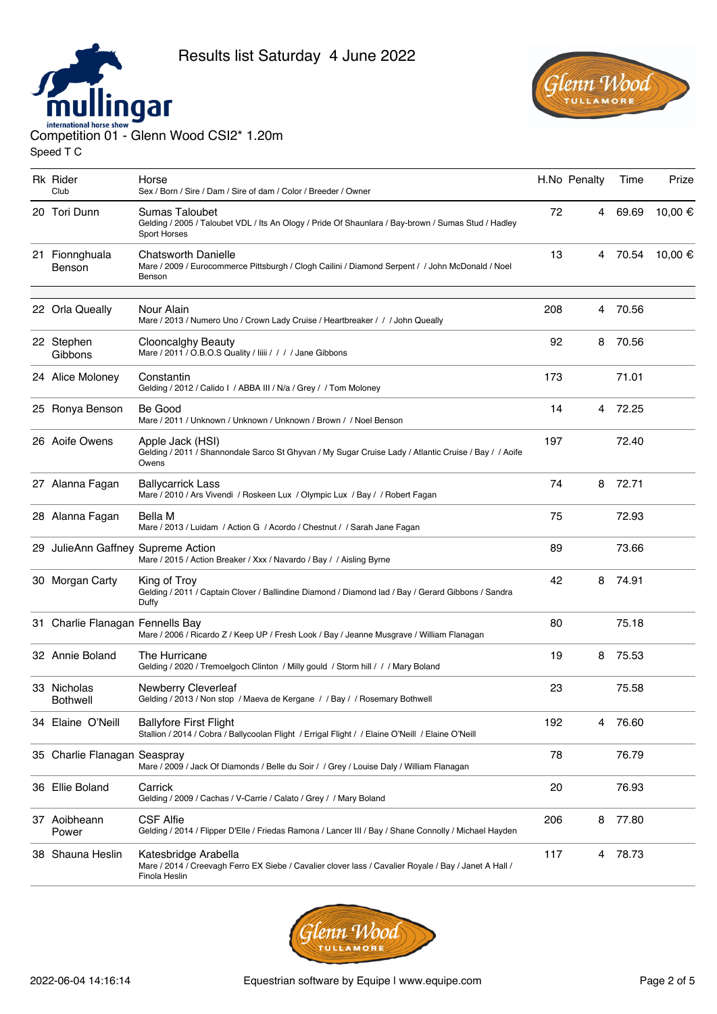



| <b>Rk Rider</b><br>Club            | Horse<br>Sex / Born / Sire / Dam / Sire of dam / Color / Breeder / Owner                                                                       |     | H.No Penalty | Time    | Prize   |
|------------------------------------|------------------------------------------------------------------------------------------------------------------------------------------------|-----|--------------|---------|---------|
| 20 Tori Dunn                       | <b>Sumas Taloubet</b><br>Gelding / 2005 / Taloubet VDL / Its An Ology / Pride Of Shaunlara / Bay-brown / Sumas Stud / Hadley<br>Sport Horses   | 72  |              | 4 69.69 | 10,00 € |
| 21 Fionnghuala<br>Benson           | <b>Chatsworth Danielle</b><br>Mare / 2009 / Eurocommerce Pittsburgh / Clogh Cailini / Diamond Serpent / / John McDonald / Noel<br>Benson       | 13  |              | 4 70.54 | 10,00 € |
| 22 Orla Queally                    | Nour Alain<br>Mare / 2013 / Numero Uno / Crown Lady Cruise / Heartbreaker / / / John Queally                                                   | 208 | 4            | 70.56   |         |
| 22 Stephen<br>Gibbons              | Clooncalghy Beauty<br>Mare / 2011 / O.B.O.S Quality / liiii / / / / Jane Gibbons                                                               | 92  | 8            | 70.56   |         |
| 24 Alice Moloney                   | Constantin<br>Gelding / 2012 / Calido I / ABBA III / N/a / Grey / / Tom Moloney                                                                | 173 |              | 71.01   |         |
| 25 Ronya Benson                    | Be Good<br>Mare / 2011 / Unknown / Unknown / Unknown / Brown / / Noel Benson                                                                   | 14  | 4            | 72.25   |         |
| 26 Aoife Owens                     | Apple Jack (HSI)<br>Gelding / 2011 / Shannondale Sarco St Ghyvan / My Sugar Cruise Lady / Atlantic Cruise / Bay / / Aoife<br>Owens             | 197 |              | 72.40   |         |
| 27 Alanna Fagan                    | <b>Ballycarrick Lass</b><br>Mare / 2010 / Ars Vivendi / Roskeen Lux / Olympic Lux / Bay / / Robert Fagan                                       | 74  | 8            | 72.71   |         |
| 28 Alanna Fagan                    | Bella M<br>Mare / 2013 / Luidam / Action G / Acordo / Chestnut / / Sarah Jane Fagan                                                            | 75  |              | 72.93   |         |
| 29 JulieAnn Gaffney Supreme Action | Mare / 2015 / Action Breaker / Xxx / Navardo / Bay / / Aisling Byrne                                                                           | 89  |              | 73.66   |         |
| 30 Morgan Carty                    | King of Trov<br>Gelding / 2011 / Captain Clover / Ballindine Diamond / Diamond lad / Bay / Gerard Gibbons / Sandra<br>Duffy                    | 42  | 8            | 74.91   |         |
| 31 Charlie Flanagan Fennells Bay   | Mare / 2006 / Ricardo Z / Keep UP / Fresh Look / Bay / Jeanne Musgrave / William Flanagan                                                      | 80  |              | 75.18   |         |
| 32 Annie Boland                    | The Hurricane<br>Gelding / 2020 / Tremoelgoch Clinton / Milly gould / Storm hill / / / Mary Boland                                             | 19  | 8            | 75.53   |         |
| 33 Nicholas<br><b>Bothwell</b>     | <b>Newberry Cleverleaf</b><br>Gelding / 2013 / Non stop / Maeva de Kergane / / Bay / / Rosemary Bothwell                                       | 23  |              | 75.58   |         |
| 34 Elaine O'Neill                  | <b>Ballyfore First Flight</b><br>Stallion / 2014 / Cobra / Ballycoolan Flight / Errigal Flight / / Elaine O'Neill / Elaine O'Neill             | 192 | 4            | 76.60   |         |
| 35 Charlie Flanagan Seaspray       | Mare / 2009 / Jack Of Diamonds / Belle du Soir / / Grey / Louise Daly / William Flanagan                                                       | 78  |              | 76.79   |         |
| 36 Ellie Boland                    | Carrick<br>Gelding / 2009 / Cachas / V-Carrie / Calato / Grey / / Mary Boland                                                                  | 20  |              | 76.93   |         |
| 37 Aoibheann<br>Power              | <b>CSF Alfie</b><br>Gelding / 2014 / Flipper D'Elle / Friedas Ramona / Lancer III / Bay / Shane Connolly / Michael Hayden                      | 206 | 8            | 77.80   |         |
| 38 Shauna Heslin                   | Katesbridge Arabella<br>Mare / 2014 / Creevagh Ferro EX Siebe / Cavalier clover lass / Cavalier Royale / Bay / Janet A Hall /<br>Finola Heslin | 117 | 4            | 78.73   |         |

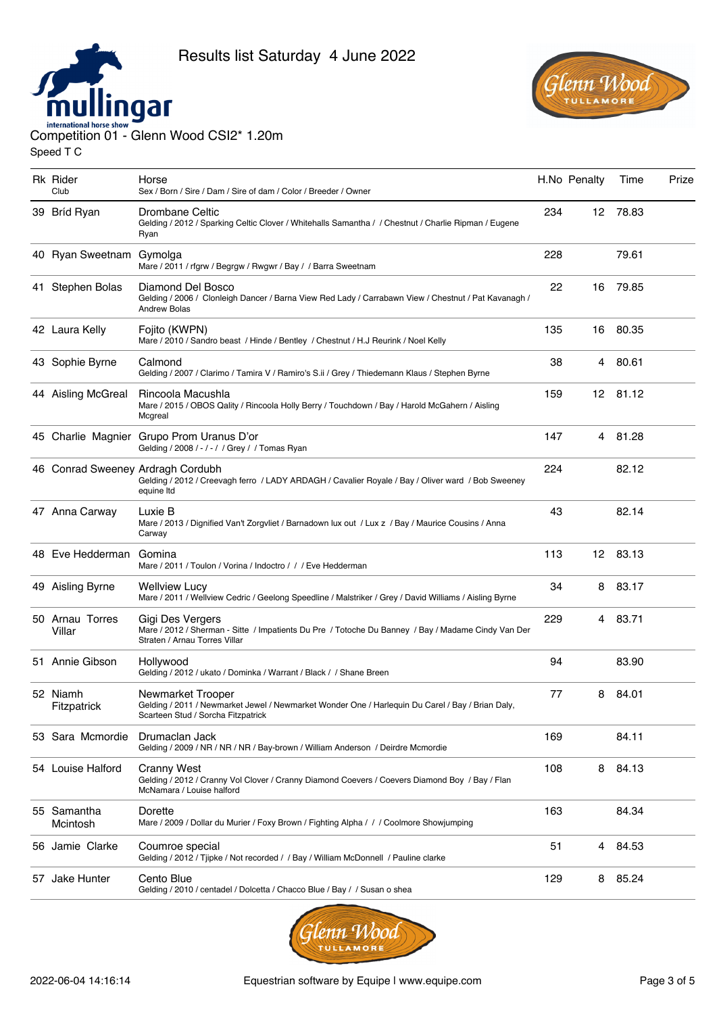



| <b>Rk</b> Rider<br>Club   | Horse<br>Sex / Born / Sire / Dam / Sire of dam / Color / Breeder / Owner                                                                                    |     | H.No Penalty | Time     | Prize |
|---------------------------|-------------------------------------------------------------------------------------------------------------------------------------------------------------|-----|--------------|----------|-------|
| 39 Bríd Ryan              | Drombane Celtic<br>Gelding / 2012 / Sparking Celtic Clover / Whitehalls Samantha / / Chestnut / Charlie Ripman / Eugene<br>Ryan                             | 234 |              | 12 78.83 |       |
| 40 Ryan Sweetnam Gymolga  | Mare / 2011 / rfgrw / Begrgw / Rwgwr / Bay / / Barra Sweetnam                                                                                               | 228 |              | 79.61    |       |
| 41 Stephen Bolas          | Diamond Del Bosco<br>Gelding / 2006 / Clonleigh Dancer / Barna View Red Lady / Carrabawn View / Chestnut / Pat Kavanagh /<br><b>Andrew Bolas</b>            | 22  | 16           | 79.85    |       |
| 42 Laura Kelly            | Fojito (KWPN)<br>Mare / 2010 / Sandro beast / Hinde / Bentley / Chestnut / H.J Reurink / Noel Kelly                                                         | 135 | 16           | 80.35    |       |
| 43 Sophie Byrne           | Calmond<br>Gelding / 2007 / Clarimo / Tamira V / Ramiro's S.ii / Grey / Thiedemann Klaus / Stephen Byrne                                                    | 38  | 4            | 80.61    |       |
| 44 Aisling McGreal        | Rincoola Macushla<br>Mare / 2015 / OBOS Qality / Rincoola Holly Berry / Touchdown / Bay / Harold McGahern / Aisling<br>Mcgreal                              | 159 |              | 12 81.12 |       |
|                           | 45 Charlie Magnier Grupo Prom Uranus D'or<br>Gelding / 2008 / - / - / / Grey / / Tomas Ryan                                                                 | 147 |              | 4 81.28  |       |
|                           | 46 Conrad Sweeney Ardragh Cordubh<br>Gelding / 2012 / Creevagh ferro / LADY ARDAGH / Cavalier Royale / Bay / Oliver ward / Bob Sweeney<br>equine Itd        | 224 |              | 82.12    |       |
| 47 Anna Carway            | Luxie B<br>Mare / 2013 / Dignified Van't Zorgvliet / Barnadown lux out / Lux z / Bay / Maurice Cousins / Anna<br>Carway                                     | 43  |              | 82.14    |       |
| 48 Eve Hedderman          | Gomina<br>Mare / 2011 / Toulon / Vorina / Indoctro / / / Eve Hedderman                                                                                      | 113 |              | 12 83.13 |       |
| 49 Aisling Byrne          | Wellview Lucy<br>Mare / 2011 / Wellview Cedric / Geelong Speedline / Malstriker / Grey / David Williams / Aisling Byrne                                     | 34  | 8            | 83.17    |       |
| 50 Arnau Torres<br>Villar | Gigi Des Vergers<br>Mare / 2012 / Sherman - Sitte / Impatients Du Pre / Totoche Du Banney / Bay / Madame Cindy Van Der<br>Straten / Arnau Torres Villar     | 229 |              | 4 83.71  |       |
| 51 Annie Gibson           | Hollywood<br>Gelding / 2012 / ukato / Dominka / Warrant / Black / / Shane Breen                                                                             | 94  |              | 83.90    |       |
| 52 Niamh<br>Fitzpatrick   | Newmarket Trooper<br>Gelding / 2011 / Newmarket Jewel / Newmarket Wonder One / Harlequin Du Carel / Bay / Brian Daly,<br>Scarteen Stud / Sorcha Fitzpatrick | 77  | 8            | 84.01    |       |
| 53 Sara Mcmordie          | Drumaclan Jack<br>Gelding / 2009 / NR / NR / NR / Bay-brown / William Anderson / Deirdre Mcmordie                                                           | 169 |              | 84.11    |       |
| 54 Louise Halford         | Cranny West<br>Gelding / 2012 / Cranny Vol Clover / Cranny Diamond Coevers / Coevers Diamond Boy / Bay / Flan<br>McNamara / Louise halford                  | 108 | 8            | 84.13    |       |
| 55 Samantha<br>Mcintosh   | Dorette<br>Mare / 2009 / Dollar du Murier / Foxy Brown / Fighting Alpha / / / Coolmore Showjumping                                                          | 163 |              | 84.34    |       |
| 56 Jamie Clarke           | Coumroe special<br>Gelding / 2012 / Tijpke / Not recorded / / Bay / William McDonnell / Pauline clarke                                                      | 51  | 4            | 84.53    |       |
| 57 Jake Hunter            | Cento Blue<br>Gelding / 2010 / centadel / Dolcetta / Chacco Blue / Bay / / Susan o shea                                                                     | 129 | 8            | 85.24    |       |
|                           |                                                                                                                                                             |     |              |          |       |

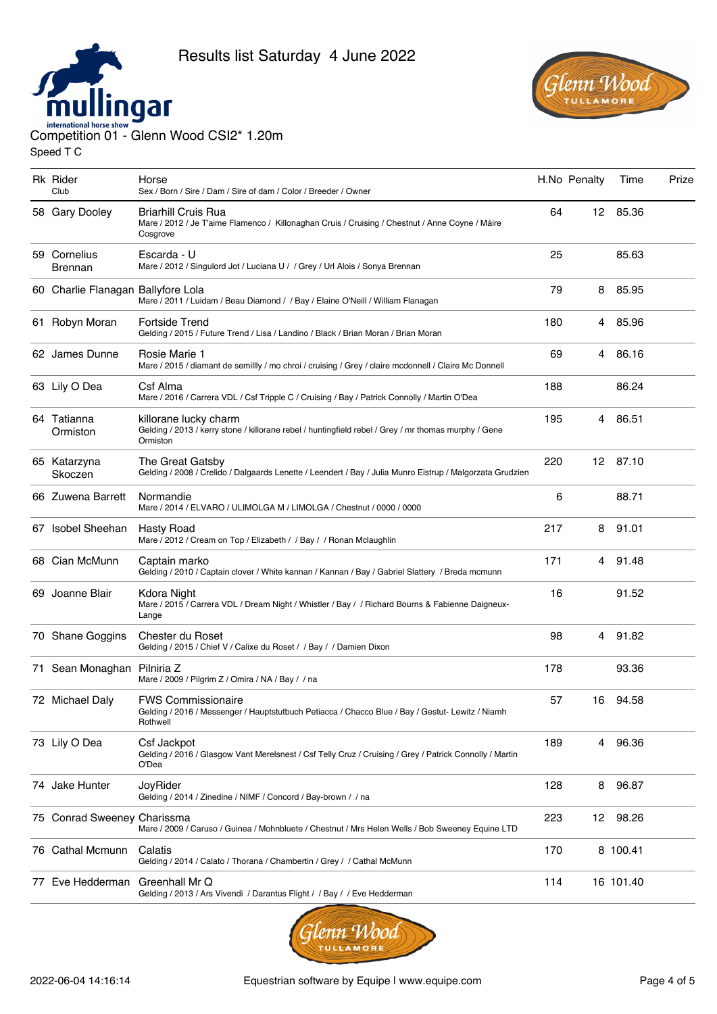



| <b>Rk Rider</b><br>Club            | Horse<br>Sex / Born / Sire / Dam / Sire of dam / Color / Breeder / Owner                                                                  |     | H.No Penalty | Time      | Prize |
|------------------------------------|-------------------------------------------------------------------------------------------------------------------------------------------|-----|--------------|-----------|-------|
| 58 Gary Dooley                     | Briarhill Cruis Rua<br>Mare / 2012 / Je T'aime Flamenco / Killonaghan Cruis / Cruising / Chestnut / Anne Coyne / Máire<br>Cosgrove        | 64  |              | 12 85.36  |       |
| 59 Cornelius<br>Brennan            | Escarda - U<br>Mare / 2012 / Singulord Jot / Luciana U / / Grey / Url Alois / Sonya Brennan                                               | 25  |              | 85.63     |       |
| 60 Charlie Flanagan Ballyfore Lola | Mare / 2011 / Luidam / Beau Diamond / / Bay / Elaine O'Neill / William Flanagan                                                           | 79  | 8            | 85.95     |       |
| 61 Robyn Moran                     | Fortside Trend<br>Gelding / 2015 / Future Trend / Lisa / Landino / Black / Brian Moran / Brian Moran                                      | 180 |              | 4 85.96   |       |
| 62 James Dunne                     | Rosie Marie 1<br>Mare / 2015 / diamant de semillly / mo chroi / cruising / Grey / claire mcdonnell / Claire Mc Donnell                    | 69  |              | 4 86.16   |       |
| 63 Lily O Dea                      | Csf Alma<br>Mare / 2016 / Carrera VDL / Csf Tripple C / Cruising / Bay / Patrick Connolly / Martin O'Dea                                  | 188 |              | 86.24     |       |
| 64 Tatianna<br>Ormiston            | killorane lucky charm<br>Gelding / 2013 / kerry stone / killorane rebel / huntingfield rebel / Grey / mr thomas murphy / Gene<br>Ormiston | 195 |              | 4 86.51   |       |
| 65 Katarzyna<br>Skoczen            | The Great Gatsby<br>Gelding / 2008 / Crelido / Dalgaards Lenette / Leendert / Bay / Julia Munro Eistrup / Malgorzata Grudzien             | 220 |              | 12 87.10  |       |
| 66 Zuwena Barrett                  | Normandie<br>Mare / 2014 / ELVARO / ULIMOLGA M / LIMOLGA / Chestnut / 0000 / 0000                                                         | 6   |              | 88.71     |       |
| 67 Isobel Sheehan                  | <b>Hasty Road</b><br>Mare / 2012 / Cream on Top / Elizabeth / / Bay / / Ronan Mclaughlin                                                  | 217 | 8            | 91.01     |       |
| 68 Cian McMunn                     | Captain marko<br>Gelding / 2010 / Captain clover / White kannan / Kannan / Bay / Gabriel Slattery / Breda mcmunn                          | 171 | 4            | 91.48     |       |
| 69 Joanne Blair                    | Kdora Night<br>Mare / 2015 / Carrera VDL / Dream Night / Whistler / Bay / / Richard Bourns & Fabienne Daigneux-<br>Lange                  | 16  |              | 91.52     |       |
| 70 Shane Goggins                   | Chester du Roset<br>Gelding / 2015 / Chief V / Calixe du Roset / / Bay / / Damien Dixon                                                   | 98  |              | 4 91.82   |       |
| 71 Sean Monaghan Pilniria Z        | Mare / 2009 / Pilgrim Z / Omira / NA / Bay / / na                                                                                         | 178 |              | 93.36     |       |
| 72 Michael Daly                    | <b>FWS Commissionaire</b><br>Gelding / 2016 / Messenger / Hauptstutbuch Petiacca / Chacco Blue / Bay / Gestut- Lewitz / Niamh<br>Rothwell | 57  |              | 16 94.58  |       |
| 73 Lily O Dea                      | Csf Jackpot<br>Gelding / 2016 / Glasgow Vant Merelsnest / Csf Telly Cruz / Cruising / Grey / Patrick Connolly / Martin<br>O'Dea           | 189 | 4            | 96.36     |       |
| 74 Jake Hunter                     | JoyRider<br>Gelding / 2014 / Zinedine / NIMF / Concord / Bay-brown / / na                                                                 | 128 | 8            | 96.87     |       |
| 75 Conrad Sweeney Charissma        | Mare / 2009 / Caruso / Guinea / Mohnbluete / Chestnut / Mrs Helen Wells / Bob Sweeney Equine LTD                                          | 223 | 12           | 98.26     |       |
| 76 Cathal Mcmunn                   | Calatis<br>Gelding / 2014 / Calato / Thorana / Chambertin / Grey / / Cathal McMunn                                                        | 170 |              | 8 100.41  |       |
| 77 Eve Hedderman                   | Greenhall Mr Q<br>Gelding / 2013 / Ars Vivendi / Darantus Flight / / Bay / / Eve Hedderman                                                | 114 |              | 16 101.40 |       |